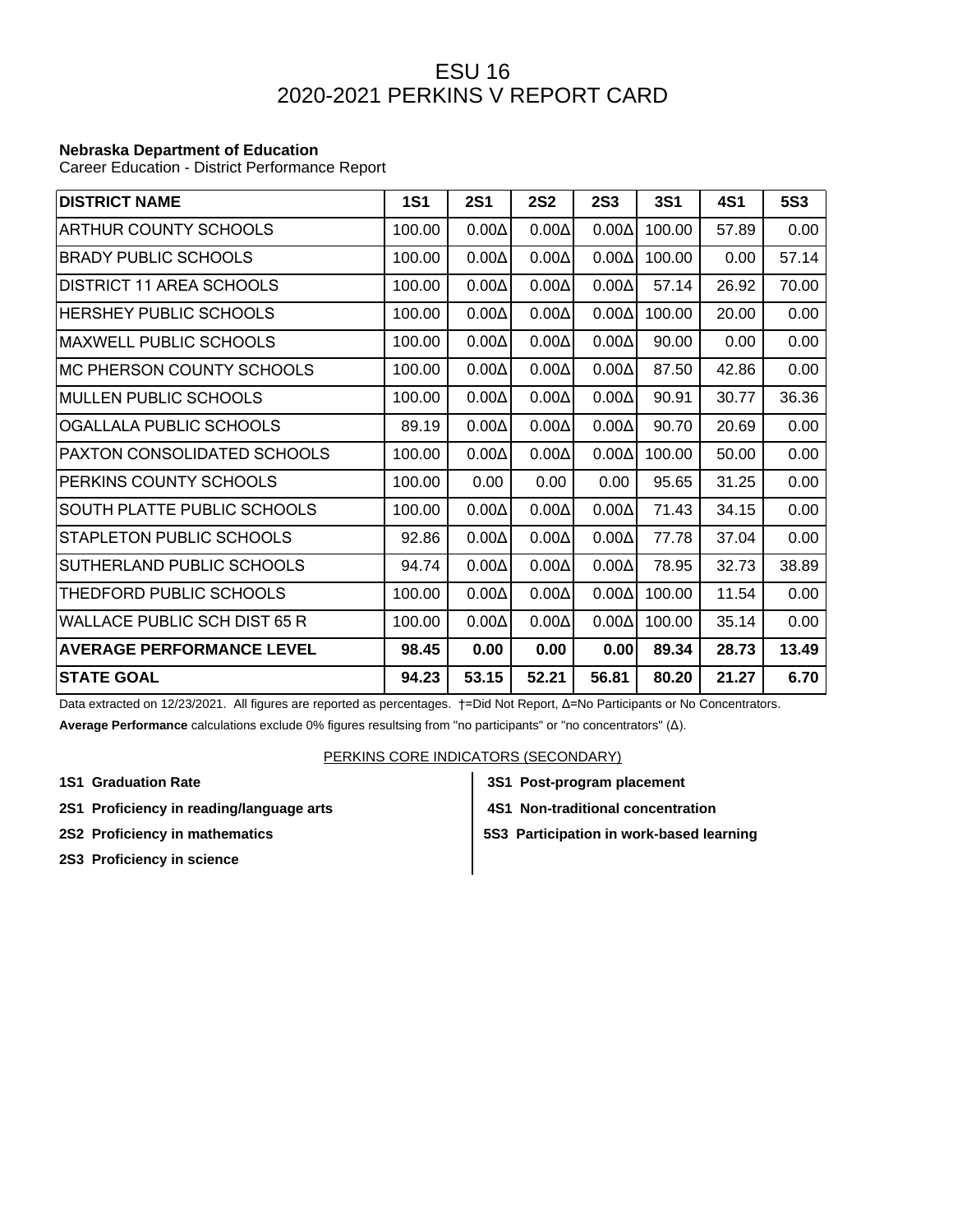## ESU 16 2020-2021 PERKINS V REPORT CARD

## **Nebraska Department of Education**

Career Education - District Performance Report

| <b>DISTRICT NAME</b>             | <b>1S1</b> | <b>2S1</b>   | <b>2S2</b>   | <b>2S3</b>   | <b>3S1</b> | 4S1   | <b>5S3</b> |
|----------------------------------|------------|--------------|--------------|--------------|------------|-------|------------|
| <b>ARTHUR COUNTY SCHOOLS</b>     | 100.00     | $0.00\Delta$ | $0.00\Delta$ | $0.00\Delta$ | 100.00     | 57.89 | 0.00       |
| <b>BRADY PUBLIC SCHOOLS</b>      | 100.00     | $0.00\Delta$ | $0.00\Delta$ | $0.00\Delta$ | 100.00     | 0.00  | 57.14      |
| DISTRICT 11 AREA SCHOOLS         | 100.00     | $0.00\Delta$ | $0.00\Delta$ | $0.00\Delta$ | 57.14      | 26.92 | 70.00      |
| <b>HERSHEY PUBLIC SCHOOLS</b>    | 100.00     | $0.00\Delta$ | $0.00\Delta$ | $0.00\Delta$ | 100.00     | 20.00 | 0.00       |
| <b>MAXWELL PUBLIC SCHOOLS</b>    | 100.00     | $0.00\Delta$ | $0.00\Delta$ | $0.00\Delta$ | 90.00      | 0.00  | 0.00       |
| MC PHERSON COUNTY SCHOOLS        | 100.00     | $0.00\Delta$ | $0.00\Delta$ | $0.00\Delta$ | 87.50      | 42.86 | 0.00       |
| <b>MULLEN PUBLIC SCHOOLS</b>     | 100.00     | $0.00\Delta$ | $0.00\Delta$ | $0.00\Delta$ | 90.91      | 30.77 | 36.36      |
| OGALLALA PUBLIC SCHOOLS          | 89.19      | $0.00\Delta$ | $0.00\Delta$ | $0.00\Delta$ | 90.70      | 20.69 | 0.00       |
| PAXTON CONSOLIDATED SCHOOLS      | 100.00     | $0.00\Delta$ | $0.00\Delta$ | $0.00\Delta$ | 100.00     | 50.00 | 0.00       |
| PERKINS COUNTY SCHOOLS           | 100.00     | 0.00         | 0.00         | 0.00         | 95.65      | 31.25 | 0.00       |
| SOUTH PLATTE PUBLIC SCHOOLS      | 100.00     | $0.00\Delta$ | $0.00\Delta$ | $0.00\Delta$ | 71.43      | 34.15 | 0.00       |
| STAPLETON PUBLIC SCHOOLS         | 92.86      | $0.00\Delta$ | $0.00\Delta$ | $0.00\Delta$ | 77.78      | 37.04 | 0.00       |
| SUTHERLAND PUBLIC SCHOOLS        | 94.74      | $0.00\Delta$ | $0.00\Delta$ | $0.00\Delta$ | 78.95      | 32.73 | 38.89      |
| THEDFORD PUBLIC SCHOOLS          | 100.00     | $0.00\Delta$ | $0.00\Delta$ | $0.00\Delta$ | 100.00     | 11.54 | 0.00       |
| WALLACE PUBLIC SCH DIST 65 R     | 100.00     | $0.00\Delta$ | $0.00\Delta$ | $0.00\Delta$ | 100.00     | 35.14 | 0.00       |
| <b>AVERAGE PERFORMANCE LEVEL</b> | 98.45      | 0.00         | 0.00         | 0.00         | 89.34      | 28.73 | 13.49      |
| <b>STATE GOAL</b>                | 94.23      | 53.15        | 52.21        | 56.81        | 80.20      | 21.27 | 6.70       |

Data extracted on 12/23/2021. All figures are reported as percentages. †=Did Not Report, Δ=No Participants or No Concentrators. **Average Performance** calculations exclude 0% figures resultsing from "no participants" or "no concentrators" (Δ).

## PERKINS CORE INDICATORS (SECONDARY)

- **1S1 Graduation Rate 3S1 Post-program placement**
- **2S1 Proficiency in reading/language arts 4S1 Non-traditional concentration**
- 
- 
- 
- **2S2 Proficiency in mathematics**  $\begin{vmatrix} 553 \end{vmatrix}$  **5S3 Participation in work-based learning**
- **2S3 Proficiency in science**